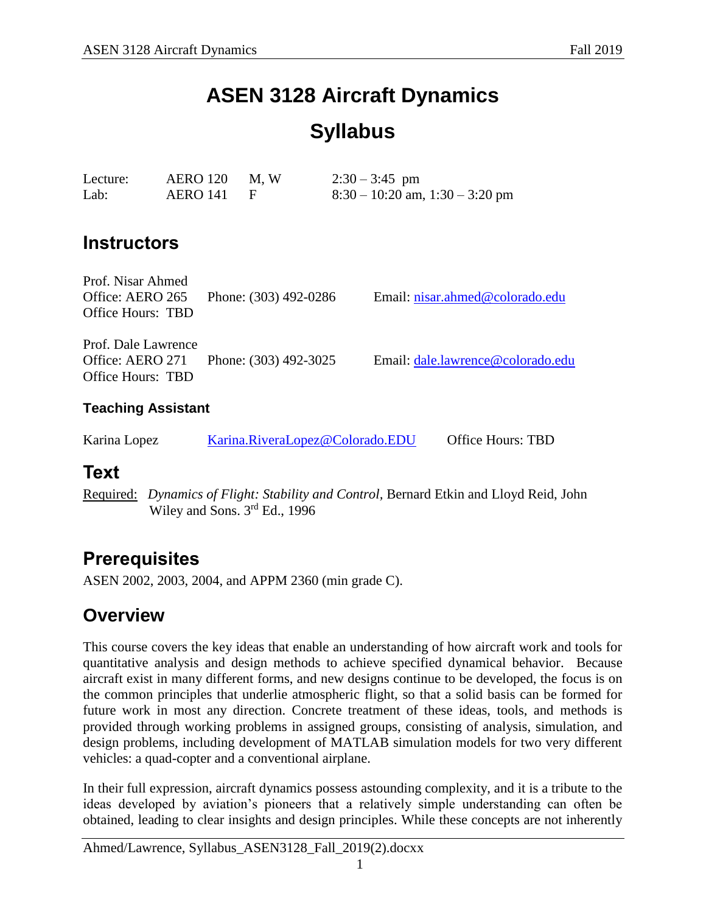# **ASEN 3128 Aircraft Dynamics Syllabus**

| Lecture: | $AERO 120$ M, W | $2:30 - 3:45$ pm                    |
|----------|-----------------|-------------------------------------|
| Lab:     | AERO 141 F      | $8:30 - 10:20$ am, $1:30 - 3:20$ pm |

# **Instructors**

| Prof. Nisar Ahmed<br>Office: AERO 265<br>Office Hours: TBD   | Phone: (303) 492-0286           | Email: nisar.ahmed@colorado.edu   |  |  |  |
|--------------------------------------------------------------|---------------------------------|-----------------------------------|--|--|--|
| Prof. Dale Lawrence<br>Office: AERO 271<br>Office Hours: TBD | Phone: (303) 492-3025           | Email: dale.lawrence@colorado.edu |  |  |  |
| <b>Teaching Assistant</b>                                    |                                 |                                   |  |  |  |
| Karina Lopez                                                 | Karina.RiveraLopez@Colorado.EDU | Office Hours: TBD                 |  |  |  |

### **Text**

Required: *Dynamics of Flight: Stability and Control,* Bernard Etkin and Lloyd Reid, John Wiley and Sons. 3<sup>rd</sup> Ed., 1996

# **Prerequisites**

ASEN 2002, 2003, 2004, and APPM 2360 (min grade C).

# **Overview**

This course covers the key ideas that enable an understanding of how aircraft work and tools for quantitative analysis and design methods to achieve specified dynamical behavior. Because aircraft exist in many different forms, and new designs continue to be developed, the focus is on the common principles that underlie atmospheric flight, so that a solid basis can be formed for future work in most any direction. Concrete treatment of these ideas, tools, and methods is provided through working problems in assigned groups, consisting of analysis, simulation, and design problems, including development of MATLAB simulation models for two very different vehicles: a quad-copter and a conventional airplane.

In their full expression, aircraft dynamics possess astounding complexity, and it is a tribute to the ideas developed by aviation's pioneers that a relatively simple understanding can often be obtained, leading to clear insights and design principles. While these concepts are not inherently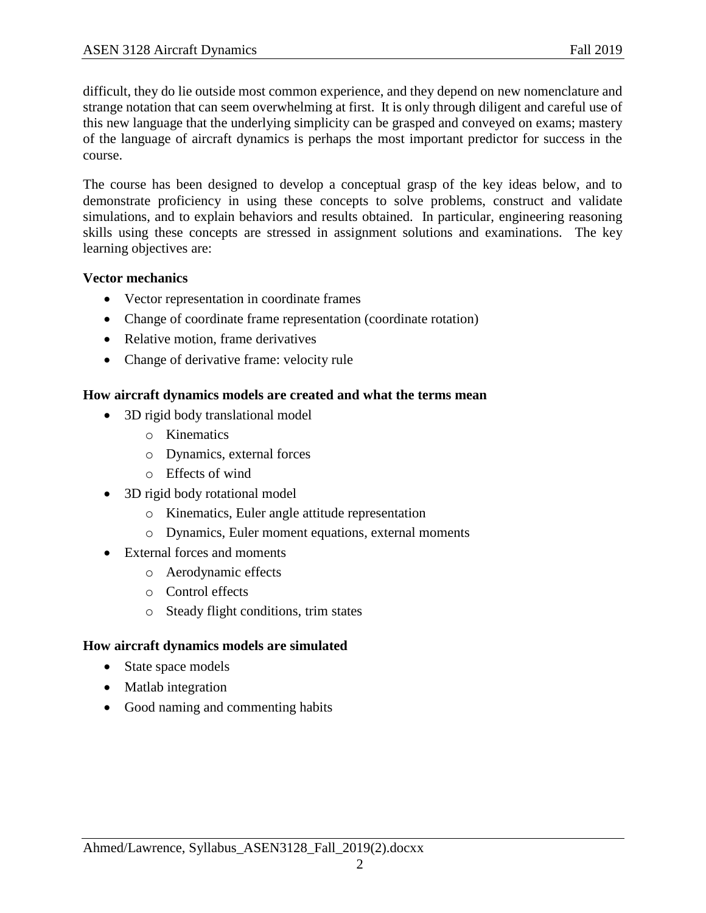difficult, they do lie outside most common experience, and they depend on new nomenclature and strange notation that can seem overwhelming at first. It is only through diligent and careful use of this new language that the underlying simplicity can be grasped and conveyed on exams; mastery of the language of aircraft dynamics is perhaps the most important predictor for success in the course.

The course has been designed to develop a conceptual grasp of the key ideas below, and to demonstrate proficiency in using these concepts to solve problems, construct and validate simulations, and to explain behaviors and results obtained. In particular, engineering reasoning skills using these concepts are stressed in assignment solutions and examinations. The key learning objectives are:

#### **Vector mechanics**

- Vector representation in coordinate frames
- Change of coordinate frame representation (coordinate rotation)
- Relative motion, frame derivatives
- Change of derivative frame: velocity rule

### **How aircraft dynamics models are created and what the terms mean**

- 3D rigid body translational model
	- o Kinematics
	- o Dynamics, external forces
	- o Effects of wind
- 3D rigid body rotational model
	- o Kinematics, Euler angle attitude representation
	- o Dynamics, Euler moment equations, external moments
- External forces and moments
	- o Aerodynamic effects
	- o Control effects
	- o Steady flight conditions, trim states

### **How aircraft dynamics models are simulated**

- State space models
- Matlab integration
- Good naming and commenting habits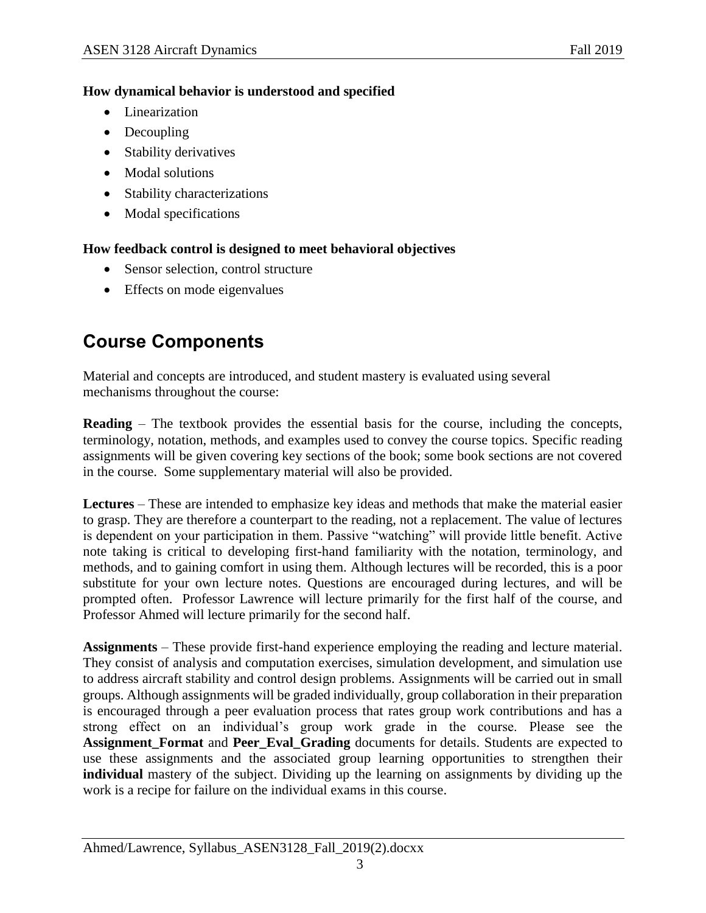#### **How dynamical behavior is understood and specified**

- Linearization
- Decoupling
- Stability derivatives
- Modal solutions
- Stability characterizations
- Modal specifications

### **How feedback control is designed to meet behavioral objectives**

- Sensor selection, control structure
- Effects on mode eigenvalues

# **Course Components**

Material and concepts are introduced, and student mastery is evaluated using several mechanisms throughout the course:

**Reading** – The textbook provides the essential basis for the course, including the concepts, terminology, notation, methods, and examples used to convey the course topics. Specific reading assignments will be given covering key sections of the book; some book sections are not covered in the course. Some supplementary material will also be provided.

**Lectures** – These are intended to emphasize key ideas and methods that make the material easier to grasp. They are therefore a counterpart to the reading, not a replacement. The value of lectures is dependent on your participation in them. Passive "watching" will provide little benefit. Active note taking is critical to developing first-hand familiarity with the notation, terminology, and methods, and to gaining comfort in using them. Although lectures will be recorded, this is a poor substitute for your own lecture notes. Questions are encouraged during lectures, and will be prompted often. Professor Lawrence will lecture primarily for the first half of the course, and Professor Ahmed will lecture primarily for the second half.

**Assignments** – These provide first-hand experience employing the reading and lecture material. They consist of analysis and computation exercises, simulation development, and simulation use to address aircraft stability and control design problems. Assignments will be carried out in small groups. Although assignments will be graded individually, group collaboration in their preparation is encouraged through a peer evaluation process that rates group work contributions and has a strong effect on an individual's group work grade in the course. Please see the **Assignment\_Format** and **Peer\_Eval\_Grading** documents for details. Students are expected to use these assignments and the associated group learning opportunities to strengthen their **individual** mastery of the subject. Dividing up the learning on assignments by dividing up the work is a recipe for failure on the individual exams in this course.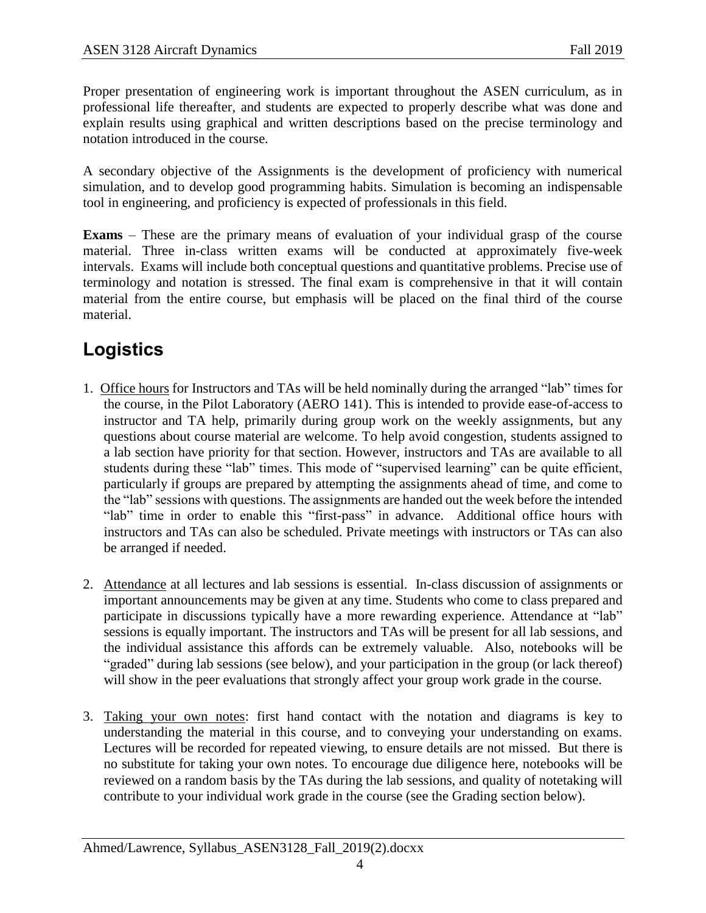Proper presentation of engineering work is important throughout the ASEN curriculum, as in professional life thereafter, and students are expected to properly describe what was done and explain results using graphical and written descriptions based on the precise terminology and notation introduced in the course.

A secondary objective of the Assignments is the development of proficiency with numerical simulation, and to develop good programming habits. Simulation is becoming an indispensable tool in engineering, and proficiency is expected of professionals in this field.

**Exams** – These are the primary means of evaluation of your individual grasp of the course material. Three in-class written exams will be conducted at approximately five-week intervals. Exams will include both conceptual questions and quantitative problems. Precise use of terminology and notation is stressed. The final exam is comprehensive in that it will contain material from the entire course, but emphasis will be placed on the final third of the course material.

# **Logistics**

- 1. Office hours for Instructors and TAs will be held nominally during the arranged "lab" times for the course, in the Pilot Laboratory (AERO 141). This is intended to provide ease-of-access to instructor and TA help, primarily during group work on the weekly assignments, but any questions about course material are welcome. To help avoid congestion, students assigned to a lab section have priority for that section. However, instructors and TAs are available to all students during these "lab" times. This mode of "supervised learning" can be quite efficient, particularly if groups are prepared by attempting the assignments ahead of time, and come to the "lab" sessions with questions. The assignments are handed out the week before the intended "lab" time in order to enable this "first-pass" in advance. Additional office hours with instructors and TAs can also be scheduled. Private meetings with instructors or TAs can also be arranged if needed.
- 2. Attendance at all lectures and lab sessions is essential. In-class discussion of assignments or important announcements may be given at any time. Students who come to class prepared and participate in discussions typically have a more rewarding experience. Attendance at "lab" sessions is equally important. The instructors and TAs will be present for all lab sessions, and the individual assistance this affords can be extremely valuable. Also, notebooks will be "graded" during lab sessions (see below), and your participation in the group (or lack thereof) will show in the peer evaluations that strongly affect your group work grade in the course.
- 3. Taking your own notes: first hand contact with the notation and diagrams is key to understanding the material in this course, and to conveying your understanding on exams. Lectures will be recorded for repeated viewing, to ensure details are not missed. But there is no substitute for taking your own notes. To encourage due diligence here, notebooks will be reviewed on a random basis by the TAs during the lab sessions, and quality of notetaking will contribute to your individual work grade in the course (see the Grading section below).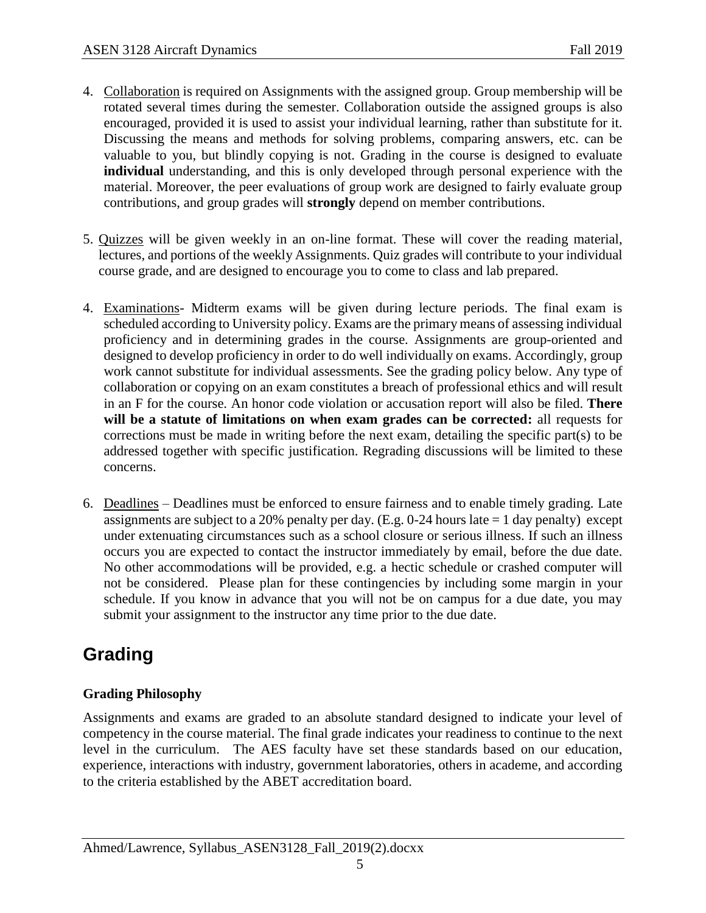- 4. Collaboration is required on Assignments with the assigned group. Group membership will be rotated several times during the semester. Collaboration outside the assigned groups is also encouraged, provided it is used to assist your individual learning, rather than substitute for it. Discussing the means and methods for solving problems, comparing answers, etc. can be valuable to you, but blindly copying is not. Grading in the course is designed to evaluate **individual** understanding, and this is only developed through personal experience with the material. Moreover, the peer evaluations of group work are designed to fairly evaluate group contributions, and group grades will **strongly** depend on member contributions.
- 5. Quizzes will be given weekly in an on-line format. These will cover the reading material, lectures, and portions of the weekly Assignments. Quiz grades will contribute to your individual course grade, and are designed to encourage you to come to class and lab prepared.
- 4. Examinations- Midterm exams will be given during lecture periods. The final exam is scheduled according to University policy. Exams are the primary means of assessing individual proficiency and in determining grades in the course. Assignments are group-oriented and designed to develop proficiency in order to do well individually on exams. Accordingly, group work cannot substitute for individual assessments. See the grading policy below. Any type of collaboration or copying on an exam constitutes a breach of professional ethics and will result in an F for the course. An honor code violation or accusation report will also be filed. **There will be a statute of limitations on when exam grades can be corrected:** all requests for corrections must be made in writing before the next exam, detailing the specific part(s) to be addressed together with specific justification. Regrading discussions will be limited to these concerns.
- 6. Deadlines Deadlines must be enforced to ensure fairness and to enable timely grading. Late assignments are subject to a 20% penalty per day. (E.g. 0-24 hours late = 1 day penalty) except under extenuating circumstances such as a school closure or serious illness. If such an illness occurs you are expected to contact the instructor immediately by email, before the due date. No other accommodations will be provided, e.g. a hectic schedule or crashed computer will not be considered. Please plan for these contingencies by including some margin in your schedule. If you know in advance that you will not be on campus for a due date, you may submit your assignment to the instructor any time prior to the due date.

# **Grading**

### **Grading Philosophy**

Assignments and exams are graded to an absolute standard designed to indicate your level of competency in the course material. The final grade indicates your readiness to continue to the next level in the curriculum. The AES faculty have set these standards based on our education, experience, interactions with industry, government laboratories, others in academe, and according to the criteria established by the ABET accreditation board.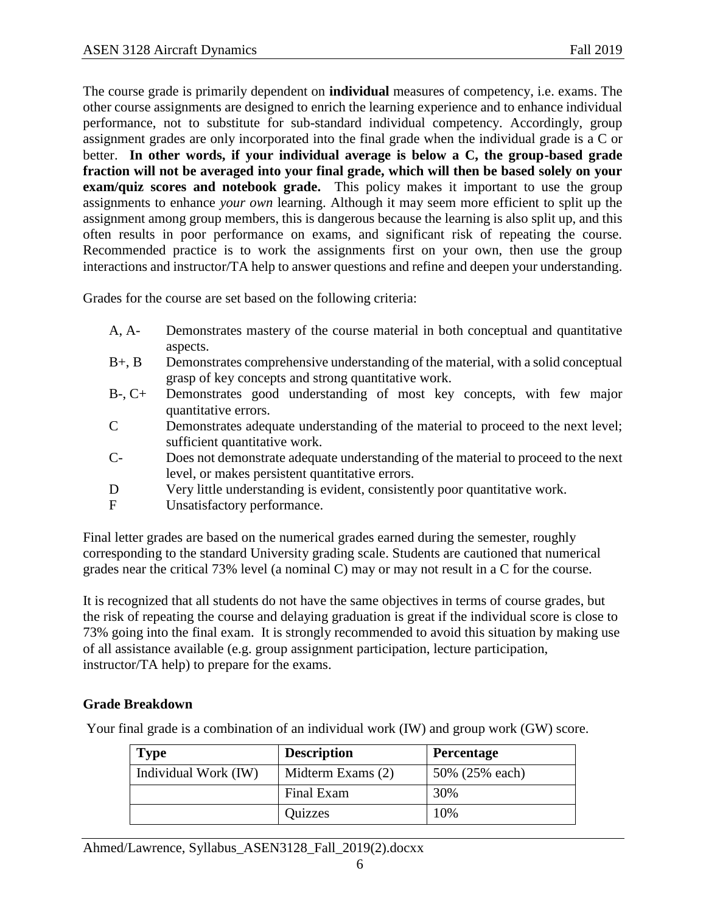The course grade is primarily dependent on **individual** measures of competency, i.e. exams. The other course assignments are designed to enrich the learning experience and to enhance individual performance, not to substitute for sub-standard individual competency. Accordingly, group assignment grades are only incorporated into the final grade when the individual grade is a C or better. **In other words, if your individual average is below a C, the group-based grade fraction will not be averaged into your final grade, which will then be based solely on your exam/quiz scores and notebook grade.** This policy makes it important to use the group assignments to enhance *your own* learning. Although it may seem more efficient to split up the assignment among group members, this is dangerous because the learning is also split up, and this often results in poor performance on exams, and significant risk of repeating the course. Recommended practice is to work the assignments first on your own, then use the group interactions and instructor/TA help to answer questions and refine and deepen your understanding.

Grades for the course are set based on the following criteria:

- A, A- Demonstrates mastery of the course material in both conceptual and quantitative aspects.
- B+, B Demonstrates comprehensive understanding of the material, with a solid conceptual grasp of key concepts and strong quantitative work.
- B-, C+ Demonstrates good understanding of most key concepts, with few major quantitative errors.
- C Demonstrates adequate understanding of the material to proceed to the next level; sufficient quantitative work.
- C- Does not demonstrate adequate understanding of the material to proceed to the next level, or makes persistent quantitative errors.
- D Very little understanding is evident, consistently poor quantitative work.
- F Unsatisfactory performance.

Final letter grades are based on the numerical grades earned during the semester, roughly corresponding to the standard University grading scale. Students are cautioned that numerical grades near the critical 73% level (a nominal C) may or may not result in a C for the course.

It is recognized that all students do not have the same objectives in terms of course grades, but the risk of repeating the course and delaying graduation is great if the individual score is close to 73% going into the final exam. It is strongly recommended to avoid this situation by making use of all assistance available (e.g. group assignment participation, lecture participation, instructor/TA help) to prepare for the exams.

### **Grade Breakdown**

Your final grade is a combination of an individual work (IW) and group work (GW) score.

| <b>Type</b>          | <b>Description</b> | <b>Percentage</b> |
|----------------------|--------------------|-------------------|
| Individual Work (IW) | Midterm Exams (2)  | 50% (25% each)    |
|                      | Final Exam         | 30%               |
|                      | Quizzes            | 10%               |

Ahmed/Lawrence, Syllabus\_ASEN3128\_Fall\_2019(2).docxx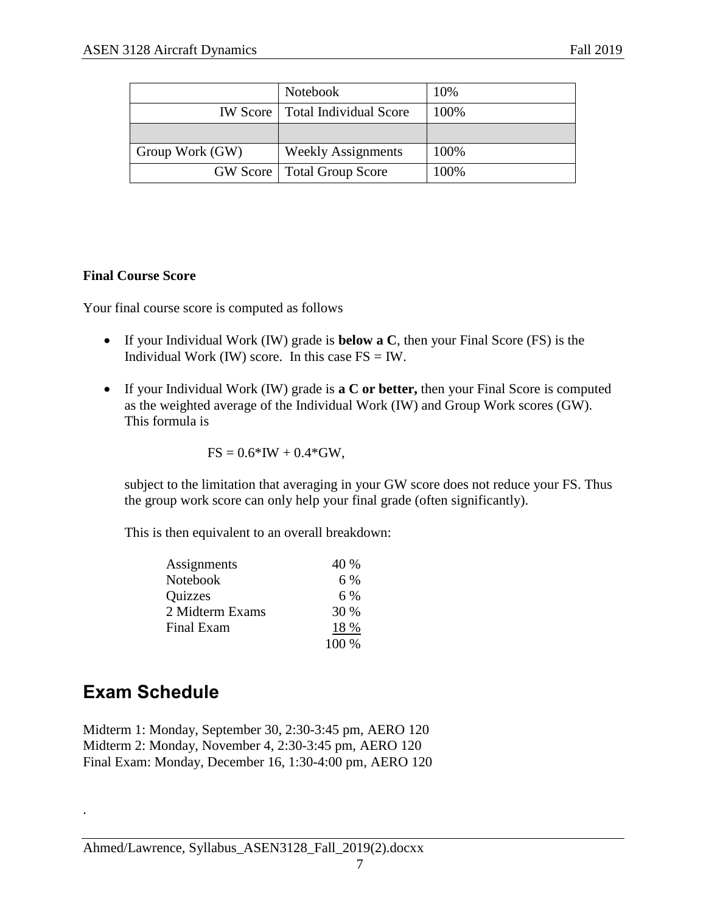|                 | Notebook                                 | 10%  |
|-----------------|------------------------------------------|------|
|                 | <b>IW Score</b>   Total Individual Score | 100% |
|                 |                                          |      |
| Group Work (GW) | <b>Weekly Assignments</b>                | 100% |
|                 | <b>GW Score</b>   Total Group Score      | 100% |

### **Final Course Score**

Your final course score is computed as follows

- If your Individual Work (IW) grade is **below a C**, then your Final Score (FS) is the Individual Work (IW) score. In this case  $FS = IW$ .
- If your Individual Work (IW) grade is **a C or better,** then your Final Score is computed as the weighted average of the Individual Work (IW) and Group Work scores (GW). This formula is

$$
FS = 0.6*IW + 0.4*GW,
$$

subject to the limitation that averaging in your GW score does not reduce your FS. Thus the group work score can only help your final grade (often significantly).

This is then equivalent to an overall breakdown:

| Assignments     | 40 %  |
|-----------------|-------|
| Notebook        | 6 %   |
| <b>Quizzes</b>  | $6\%$ |
| 2 Midterm Exams | 30 %  |
| Final Exam      | 18 %  |
|                 | 100 % |

# **Exam Schedule**

.

Midterm 1: Monday, September 30, 2:30-3:45 pm, AERO 120 Midterm 2: Monday, November 4, 2:30-3:45 pm, AERO 120 Final Exam: Monday, December 16, 1:30-4:00 pm, AERO 120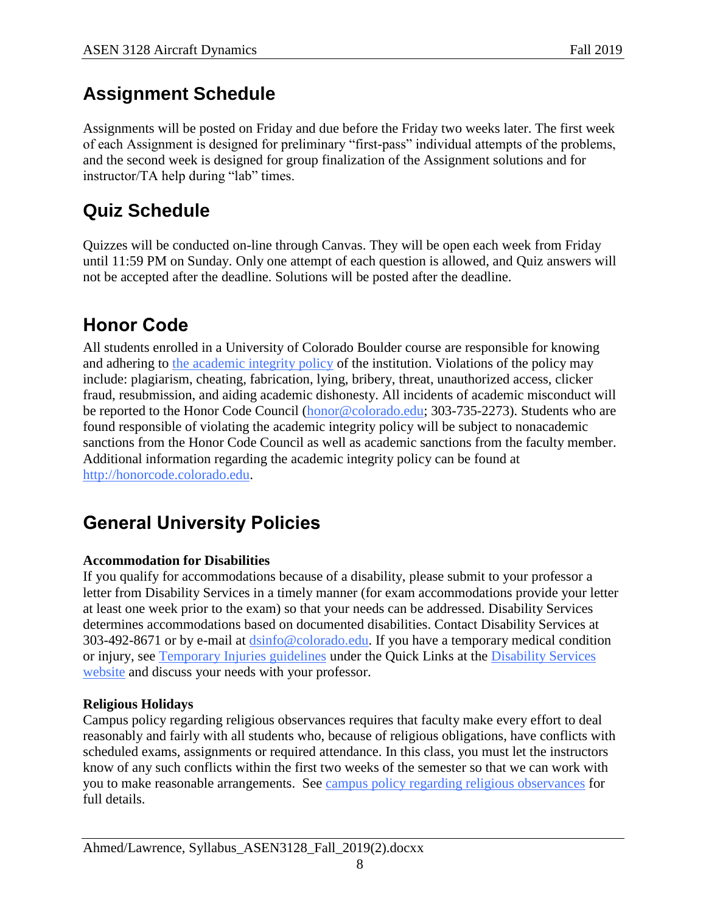# **Assignment Schedule**

Assignments will be posted on Friday and due before the Friday two weeks later. The first week of each Assignment is designed for preliminary "first-pass" individual attempts of the problems, and the second week is designed for group finalization of the Assignment solutions and for instructor/TA help during "lab" times.

# **Quiz Schedule**

Quizzes will be conducted on-line through Canvas. They will be open each week from Friday until 11:59 PM on Sunday. Only one attempt of each question is allowed, and Quiz answers will not be accepted after the deadline. Solutions will be posted after the deadline.

# **Honor Code**

All students enrolled in a University of Colorado Boulder course are responsible for knowing and adhering to [the academic integrity policy](http://www.alumniconnections.com/links/link.cgi?l=6835160&h=6451&e=UCBI-20151203180101) of the institution. Violations of the policy may include: plagiarism, cheating, fabrication, lying, bribery, threat, unauthorized access, clicker fraud, resubmission, and aiding academic dishonesty. All incidents of academic misconduct will be reported to the Honor Code Council (**honor@colorado.edu**; 303-735-2273). Students who are found responsible of violating the academic integrity policy will be subject to nonacademic sanctions from the Honor Code Council as well as academic sanctions from the faculty member. Additional information regarding the academic integrity policy can be found at [http://honorcode.colorado.edu.](http://www.alumniconnections.com/links/link.cgi?l=6835161&h=6451&e=UCBI-20151203180101)

# **General University Policies**

### **Accommodation for Disabilities**

If you qualify for accommodations because of a disability, please submit to your professor a letter from Disability Services in a timely manner (for exam accommodations provide your letter at least one week prior to the exam) so that your needs can be addressed. Disability Services determines accommodations based on documented disabilities. Contact Disability Services at 303-492-8671 or by e-mail at [dsinfo@colorado.edu.](mailto:dsinfo@colorado.edu) If you have a temporary medical condition or injury, see [Temporary Injuries guidelines](http://www.alumniconnections.com/links/link.cgi?l=6835148&h=6451&e=UCBI-20151203180101) under the Quick Links at the [Disability Services](http://www.alumniconnections.com/links/link.cgi?l=6835149&h=6451&e=UCBI-20151203180101)  [website](http://www.alumniconnections.com/links/link.cgi?l=6835149&h=6451&e=UCBI-20151203180101) and discuss your needs with your professor.

### **Religious Holidays**

Campus policy regarding religious observances requires that faculty make every effort to deal reasonably and fairly with all students who, because of religious obligations, have conflicts with scheduled exams, assignments or required attendance. In this class, you must let the instructors know of any such conflicts within the first two weeks of the semester so that we can work with you to make reasonable arrangements. See [campus policy regarding religious observances](http://www.alumniconnections.com/links/link.cgi?l=6835152&h=6451&e=UCBI-20151203180101) for full details.